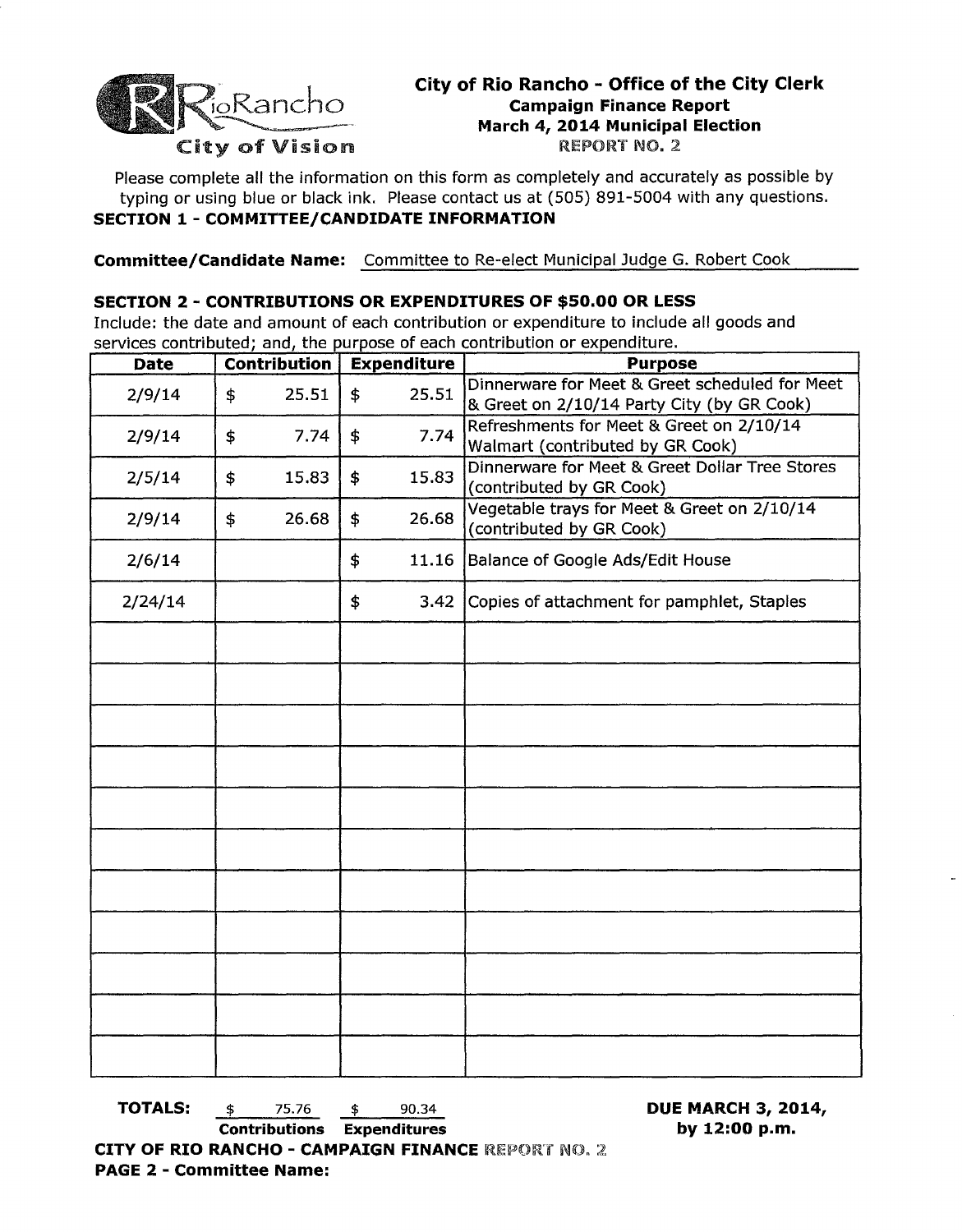

# **City of Rio Rancho - Office of the City Clerk Campaign Finance Report March 4, 2014 Municipal Election**

Please complete all the information on this form as completely and accurately as possible by typing or using blue or black ink. Please contact us at (505) 891-5004 with any questions. **SECTION 1 - COMMITTEE/CANDIDATE INFORMATION** 

**Committee/Candidate Name:** Committee to Re-elect Municipal Judge G. Robert Cook

## **SECTION 2 - CONTRIBUTIONS OR EXPENDITURES OF \$50.00 OR LESS**

Include: the date and amount of each contribution or expenditure to include all goods and services contributed; and, the purpose of each contribution or expenditure.

| <b>Date</b> | <b>Contribution</b> |  | <b>Expenditure</b> | <b>Purpose</b>                                                                               |  |  |  |
|-------------|---------------------|--|--------------------|----------------------------------------------------------------------------------------------|--|--|--|
| 2/9/14      | 25.51<br>\$         |  | 25.51<br>\$        | Dinnerware for Meet & Greet scheduled for Meet<br>& Greet on 2/10/14 Party City (by GR Cook) |  |  |  |
| 2/9/14      | 7.74<br>\$          |  | 7.74<br>\$         | Refreshments for Meet & Greet on 2/10/14<br>Walmart (contributed by GR Cook)                 |  |  |  |
| 2/5/14      | \$<br>15.83         |  | 15.83<br>\$        | Dinnerware for Meet & Greet Dollar Tree Stores<br>(contributed by GR Cook)                   |  |  |  |
| 2/9/14      | \$<br>26.68         |  | 26.68<br>\$        | Vegetable trays for Meet & Greet on 2/10/14<br>(contributed by GR Cook)                      |  |  |  |
| 2/6/14      |                     |  | 11.16<br>\$        | Balance of Google Ads/Edit House                                                             |  |  |  |
| 2/24/14     |                     |  | \$<br>3.42         | Copies of attachment for pamphlet, Staples                                                   |  |  |  |
|             |                     |  |                    |                                                                                              |  |  |  |
|             |                     |  |                    |                                                                                              |  |  |  |
|             |                     |  |                    |                                                                                              |  |  |  |
|             |                     |  |                    |                                                                                              |  |  |  |
|             |                     |  |                    |                                                                                              |  |  |  |
|             |                     |  |                    |                                                                                              |  |  |  |
|             |                     |  |                    |                                                                                              |  |  |  |
|             |                     |  |                    |                                                                                              |  |  |  |
|             |                     |  |                    |                                                                                              |  |  |  |
|             |                     |  |                    |                                                                                              |  |  |  |
|             |                     |  |                    |                                                                                              |  |  |  |

**TOTALS:** \$ 75.76 \$ 90.34 **DUE MARCH 3, 2014, Contributions Expenditures by 12:00 p.m.** 

**CITY OF RIO RANCHO - CAMPAIGN FINANCE REPORT NO. 2 PAGE 2 - Committee Name:**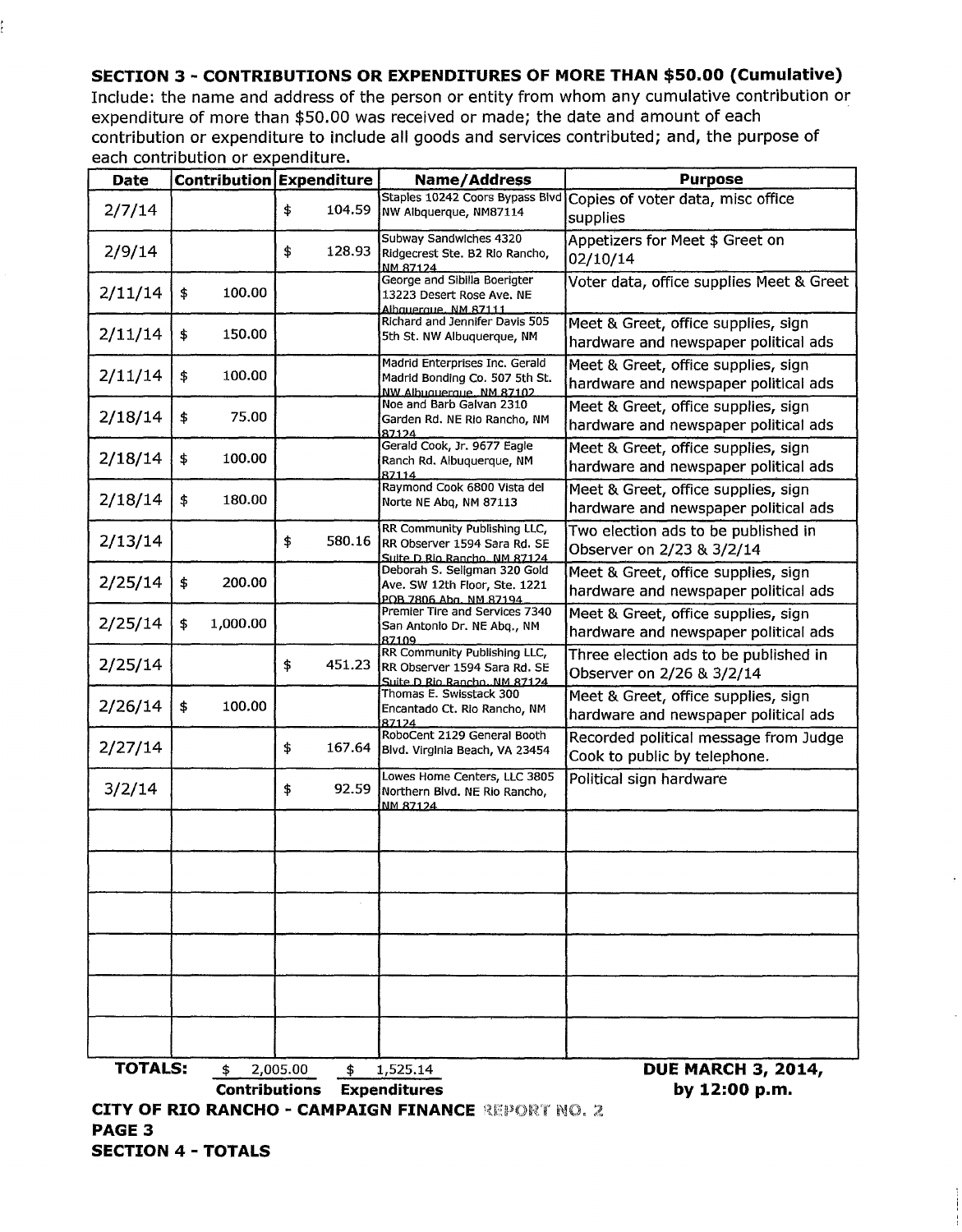## SECTION 3 - CONTRIBUTIONS OR EXPENDITURES OF MORE THAN \$50.00 (Cumulative)

Include: the name and address of the person or entity from whom any cumulative contribution or expenditure of more than \$50.00 was received or made; the date and amount of each contribution or expenditure to include all goods and services contributed; and, the purpose of each contribution or expenditure.

| Contribution Expenditure<br><b>Date</b> |    |                                              |    | <b>Name/Address</b> | <b>Purpose</b>                                                                                |                                                                             |  |  |
|-----------------------------------------|----|----------------------------------------------|----|---------------------|-----------------------------------------------------------------------------------------------|-----------------------------------------------------------------------------|--|--|
| 2/7/14                                  |    |                                              | \$ | 104.59              | Staples 10242 Coors Bypass Blvd<br>NW Albauerque, NM87114                                     | Copies of voter data, misc office<br>supplies                               |  |  |
| 2/9/14                                  |    |                                              | \$ | 128.93              | Subway Sandwiches 4320<br>Ridgecrest Ste. B2 Rio Rancho,<br>NM 87124                          | Appetizers for Meet \$ Greet on<br>02/10/14                                 |  |  |
| 2/11/14                                 | \$ | 100.00                                       |    |                     | George and Sibilla Boerigter<br>13223 Desert Rose Ave. NE<br>Albaueraue, NM 87111             | Voter data, office supplies Meet & Greet                                    |  |  |
| 2/11/14                                 | \$ | 150.00                                       |    |                     | Richard and Jennifer Davis 505<br>5th St. NW Albuquerque, NM                                  | Meet & Greet, office supplies, sign<br>hardware and newspaper political ads |  |  |
| 2/11/14                                 | \$ | 100.00                                       |    |                     | Madrid Enterprises Inc. Gerald<br>Madrid Bonding Co. 507 5th St.<br>NW Albuquerque, NM 87102  | Meet & Greet, office supplies, sign<br>hardware and newspaper political ads |  |  |
| 2/18/14                                 | \$ | 75.00                                        |    |                     | Noe and Barb Galvan 2310<br>Garden Rd. NE Rio Rancho, NM<br>87124                             | Meet & Greet, office supplies, sign<br>hardware and newspaper political ads |  |  |
| 2/18/14                                 | \$ | 100.00                                       |    |                     | Gerald Cook, Jr. 9677 Eagle<br>Ranch Rd. Albuquerque, NM<br>87114                             | Meet & Greet, office supplies, sign<br>hardware and newspaper political ads |  |  |
| 2/18/14                                 | \$ | 180.00                                       |    |                     | Raymond Cook 6800 Vista del<br>Norte NE Abq, NM 87113                                         | Meet & Greet, office supplies, sign<br>hardware and newspaper political ads |  |  |
| 2/13/14                                 |    |                                              | \$ | 580.16              | RR Community Publishing LLC,<br>RR Observer 1594 Sara Rd. SE<br>Suite D. Rio Rancho, NM 87124 | Two election ads to be published in<br>Observer on 2/23 & 3/2/14            |  |  |
| 2/25/14                                 | \$ | 200.00                                       |    |                     | Deborah S. Seligman 320 Gold<br>Ave. SW 12th Floor, Ste. 1221<br>POB 7806 Abg, NM 87194       | Meet & Greet, office supplies, sign<br>hardware and newspaper political ads |  |  |
| 2/25/14                                 | \$ | 1,000.00                                     |    |                     | Premier Tire and Services 7340<br>San Antonio Dr. NE Abq., NM<br>87109                        | Meet & Greet, office supplies, sign<br>hardware and newspaper political ads |  |  |
| 2/25/14                                 |    |                                              | \$ | 451.23              | RR Community Publishing LLC,<br>RR Observer 1594 Sara Rd. SE<br>Suite D Rio Rancho, NM 87124  | Three election ads to be published in<br>Observer on 2/26 & 3/2/14          |  |  |
| 2/26/14                                 | \$ | 100.00                                       |    |                     | Thomas E. Swisstack 300<br>Encantado Ct. Rio Rancho, NM<br>87124                              | Meet & Greet, office supplies, sign<br>hardware and newspaper political ads |  |  |
| 2/27/14                                 |    |                                              | \$ | 167.64              | RoboCent 2129 General Booth<br>Blvd. Virginia Beach, VA 23454                                 | Recorded political message from Judge<br>Cook to public by telephone.       |  |  |
| 3/2/14                                  |    |                                              | \$ | 92.59               | Lowes Home Centers, LLC 3805<br>Northern Blvd. NE Rio Rancho,<br>NM 87124                     | Political sign hardware                                                     |  |  |
|                                         |    |                                              |    |                     |                                                                                               |                                                                             |  |  |
|                                         |    |                                              |    |                     |                                                                                               |                                                                             |  |  |
|                                         |    |                                              |    |                     |                                                                                               |                                                                             |  |  |
|                                         |    |                                              |    |                     |                                                                                               |                                                                             |  |  |
|                                         |    |                                              |    |                     |                                                                                               |                                                                             |  |  |
|                                         |    |                                              |    |                     |                                                                                               |                                                                             |  |  |
| <b>TOTALS:</b>                          |    | 2,005.00<br>\$<br>\$<br><b>Contributions</b> |    |                     | 1,525.14<br><b>Expenditures</b>                                                               | <b>DUE MARCH 3, 2014,</b><br>by 12:00 p.m.                                  |  |  |

**Contributions Expenditures CITY OF RIO RANCHO - CAMPAIGN FINANCE REPORT NO. 2 PAGE 3 SECTION 4 - TOTALS**